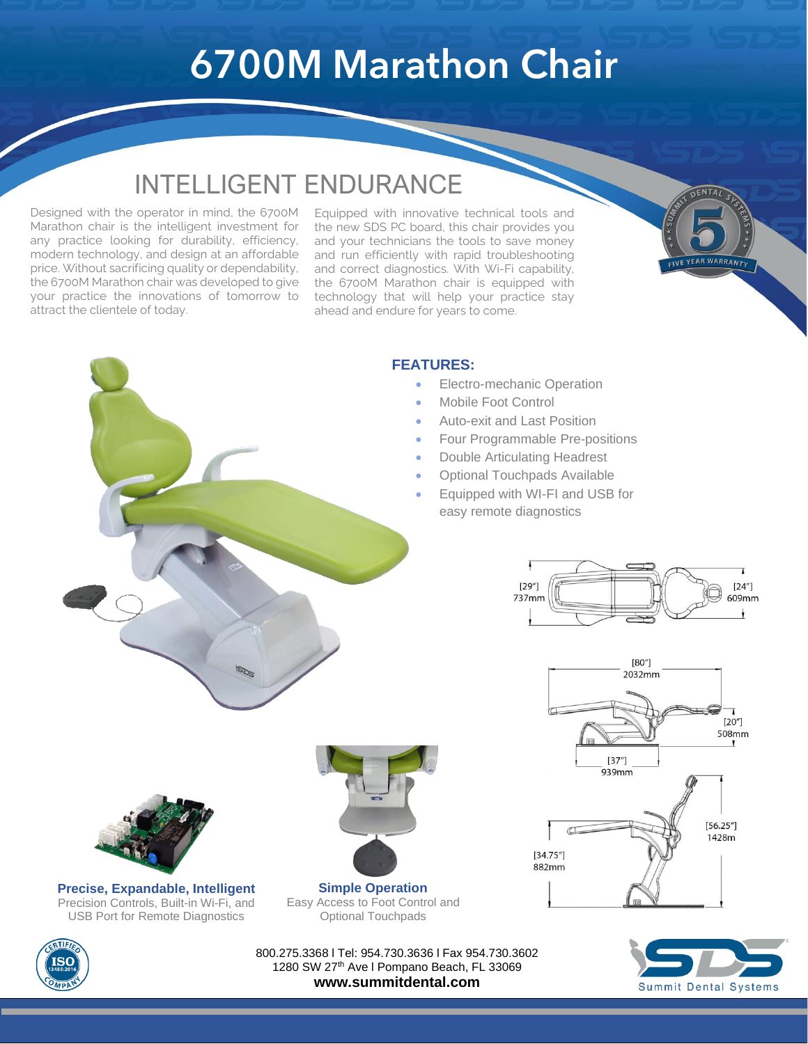## **6700M Marathon Chair**

l<br>L

## INTELLIGENT ENDURANCE

Designed with the operator in mind, the 6700M Marathon chair is the intelligent investment for any practice looking for durability, efficiency, modern technology, and design at an affordable price. Without sacrificing quality or dependability, the 6700M Marathon chair was developed to give your practice the innovations of tomorrow to attract the clientele of today.

Equipped with innovative technical tools and the new SDS PC board, this chair provides you and your technicians the tools to save money and run efficiently with rapid troubleshooting and correct diagnostics. With Wi-Fi capability, the 6700M Marathon chair is equipped with technology that will help your practice stay ahead and endure for years to come.



#### **FEATURES:**

- Electro-mechanic Operation
- Mobile Foot Control
- Auto-exit and Last Position
- Four Programmable Pre-positions
- Double Articulating Headrest
- Optional Touchpads Available
- Equipped with WI-FI and USB for easy remote diagnostics







800.275.3368 l Tel: 954.730.3636 l Fax 954.730.3602 1280 SW 27<sup>th</sup> Ave I Pompano Beach, FL 33069 **www.summitdental.com**

**Simple Operation** Easy Access to Foot Control and Optional Touchpads





**Precise, Expandable, Intelligent** Precision Controls, Built-in Wi-Fi, and USB Port for Remote Diagnostics